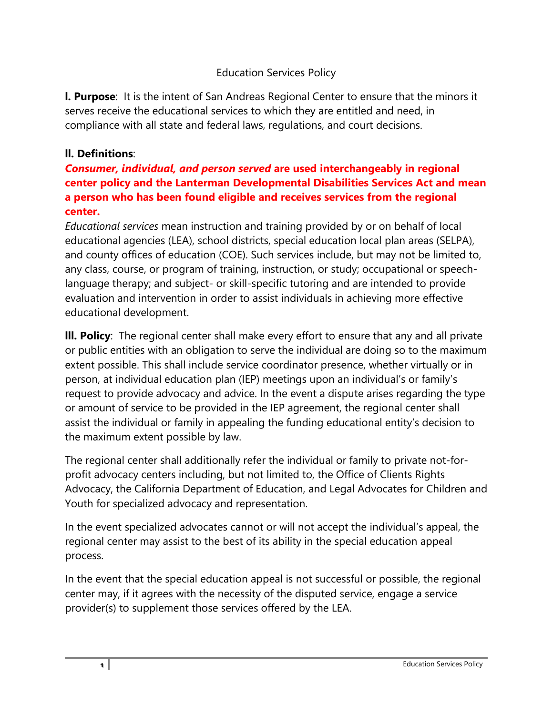## Education Services Policy

**l. Purpose**: It is the intent of San Andreas Regional Center to ensure that the minors it serves receive the educational services to which they are entitled and need, in compliance with all state and federal laws, regulations, and court decisions.

## **ll. Definitions**:

## *Consumer, individual, and person served* **are used interchangeably in regional center policy and the Lanterman Developmental Disabilities Services Act and mean a person who has been found eligible and receives services from the regional center.**

*Educational services* mean instruction and training provided by or on behalf of local educational agencies (LEA), school districts, special education local plan areas (SELPA), and county offices of education (COE). Such services include, but may not be limited to, any class, course, or program of training, instruction, or study; occupational or speechlanguage therapy; and subject- or skill-specific tutoring and are intended to provide evaluation and intervention in order to assist individuals in achieving more effective educational development.

**lll. Policy**: The regional center shall make every effort to ensure that any and all private or public entities with an obligation to serve the individual are doing so to the maximum extent possible. This shall include service coordinator presence, whether virtually or in person, at individual education plan (IEP) meetings upon an individual's or family's request to provide advocacy and advice. In the event a dispute arises regarding the type or amount of service to be provided in the IEP agreement, the regional center shall assist the individual or family in appealing the funding educational entity's decision to the maximum extent possible by law.

The regional center shall additionally refer the individual or family to private not-forprofit advocacy centers including, but not limited to, the Office of Clients Rights Advocacy, the California Department of Education, and Legal Advocates for Children and Youth for specialized advocacy and representation.

In the event specialized advocates cannot or will not accept the individual's appeal, the regional center may assist to the best of its ability in the special education appeal process.

In the event that the special education appeal is not successful or possible, the regional center may, if it agrees with the necessity of the disputed service, engage a service provider(s) to supplement those services offered by the LEA.